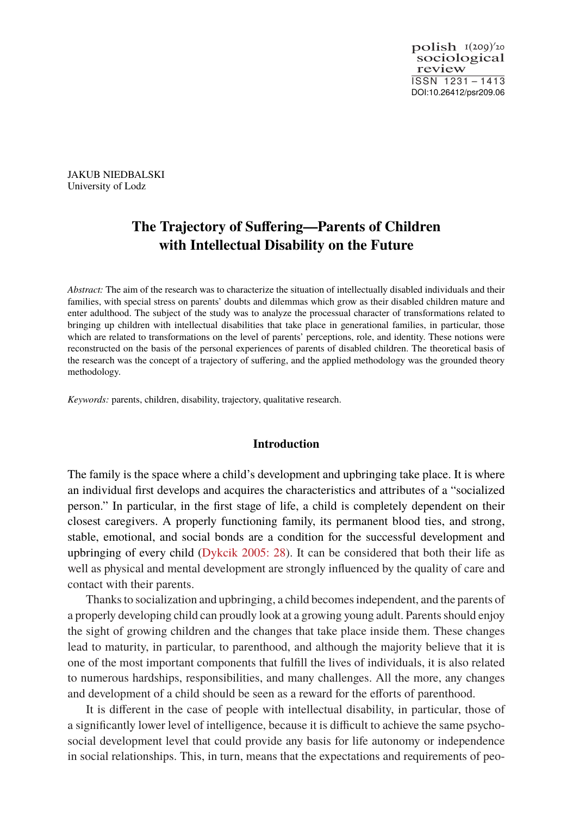sociological review  $\text{polish}_{1}$ <sup> $I(209)'20$ </sup> ISSN 1231 – 1413 DOI:10.26412/psr209.06

JAKUB NIEDBALSKI University of Lodz

# **The Trajectory of Suffering—Parents of Children with Intellectual Disability on the Future**

*Abstract:* The aim of the research was to characterize the situation of intellectually disabled individuals and their families, with special stress on parents' doubts and dilemmas which grow as their disabled children mature and enter adulthood. The subject of the study was to analyze the processual character of transformations related to bringing up children with intellectual disabilities that take place in generational families, in particular, those which are related to transformations on the level of parents' perceptions, role, and identity. These notions were reconstructed on the basis of the personal experiences of parents of disabled children. The theoretical basis of the research was the concept of a trajectory of suffering, and the applied methodology was the grounded theory methodology.

*Keywords:* parents, children, disability, trajectory, qualitative research.

#### **Introduction**

The family is the space where a child's development and upbringing take place. It is where an individual first develops and acquires the characteristics and attributes of a "socialized person." In particular, in the first stage of life, a child is completely dependent on their closest caregivers. A properly functioning family, its permanent blood ties, and strong, stable, emotional, and social bonds are a condition for the successful development and upbringing of every child [\(Dykcik 2005: 28](#page-19-0)). It can be considered that both their life as well as physical and mental development are strongly influenced by the quality of care and contact with their parents.

Thanks to socialization and upbringing, a child becomes independent, and the parents of a properly developing child can proudly look at a growing young adult. Parents should enjoy the sight of growing children and the changes that take place inside them. These changes lead to maturity, in particular, to parenthood, and although the majority believe that it is one of the most important components that fulfill the lives of individuals, it is also related to numerous hardships, responsibilities, and many challenges. All the more, any changes and development of a child should be seen as a reward for the efforts of parenthood.

It is different in the case of people with intellectual disability, in particular, those of a significantly lower level of intelligence, because it is difficult to achieve the same psychosocial development level that could provide any basis for life autonomy or independence in social relationships. This, in turn, means that the expectations and requirements of peo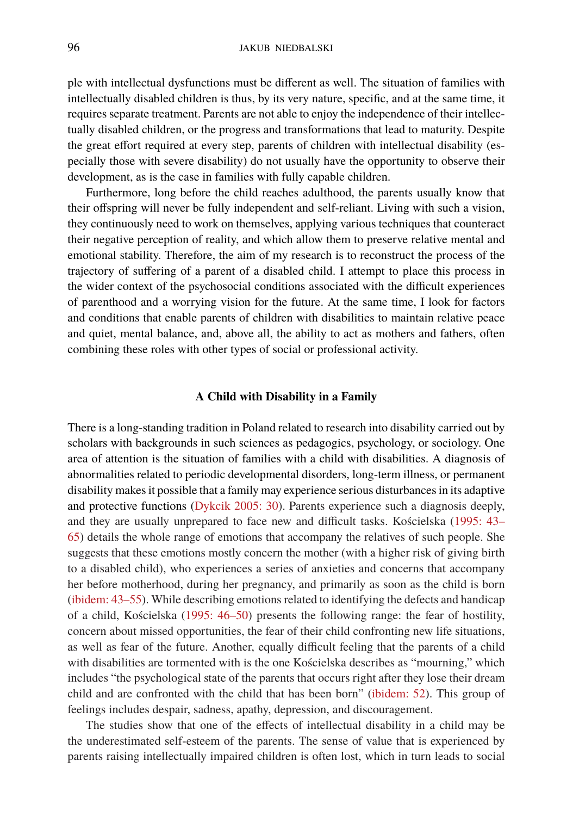ple with intellectual dysfunctions must be different as well. The situation of families with intellectually disabled children is thus, by its very nature, specific, and at the same time, it requires separate treatment. Parents are not able to enjoy the independence of their intellectually disabled children, or the progress and transformations that lead to maturity. Despite the great effort required at every step, parents of children with intellectual disability (especially those with severe disability) do not usually have the opportunity to observe their development, as is the case in families with fully capable children.

Furthermore, long before the child reaches adulthood, the parents usually know that their offspring will never be fully independent and self-reliant. Living with such a vision, they continuously need to work on themselves, applying various techniques that counteract their negative perception of reality, and which allow them to preserve relative mental and emotional stability. Therefore, the aim of my research is to reconstruct the process of the trajectory of suffering of a parent of a disabled child. I attempt to place this process in the wider context of the psychosocial conditions associated with the difficult experiences of parenthood and a worrying vision for the future. At the same time, I look for factors and conditions that enable parents of children with disabilities to maintain relative peace and quiet, mental balance, and, above all, the ability to act as mothers and fathers, often combining these roles with other types of social or professional activity.

#### **A Child with Disability in a Family**

There is a long-standing tradition in Poland related to research into disability carried out by scholars with backgrounds in such sciences as pedagogics, psychology, or sociology. One area of attention is the situation of families with a child with disabilities. A diagnosis of abnormalities related to periodic developmental disorders, long-term illness, or permanent disability makes it possible that a family may experience serious disturbances in its adaptive and protective functions [\(Dykcik 2005: 30](#page-19-0)). Parents experience such a diagnosis deeply, and they are usually unprepared to face new and difficult tasks. Kościelska [\(1995: 43–](#page-20-0) [65](#page-20-0)) details the whole range of emotions that accompany the relatives of such people. She suggests that these emotions mostly concern the mother (with a higher risk of giving birth to a disabled child), who experiences a series of anxieties and concerns that accompany her before motherhood, during her pregnancy, and primarily as soon as the child is born ([ibidem: 43–55\)](#page-20-0). While describing emotions related to identifying the defects and handicap of a child, Kościelska [\(1995: 46–50\)](#page-20-0) presents the following range: the fear of hostility, concern about missed opportunities, the fear of their child confronting new life situations, as well as fear of the future. Another, equally difficult feeling that the parents of a child with disabilities are tormented with is the one Kościelska describes as "mourning," which includes "the psychological state of the parents that occurs right after they lose their dream child and are confronted with the child that has been born"([ibidem: 52](#page-20-0)). This group of feelings includes despair, sadness, apathy, depression, and discouragement.

The studies show that one of the effects of intellectual disability in a child may be the underestimated self-esteem of the parents. The sense of value that is experienced by parents raising intellectually impaired children is often lost, which in turn leads to social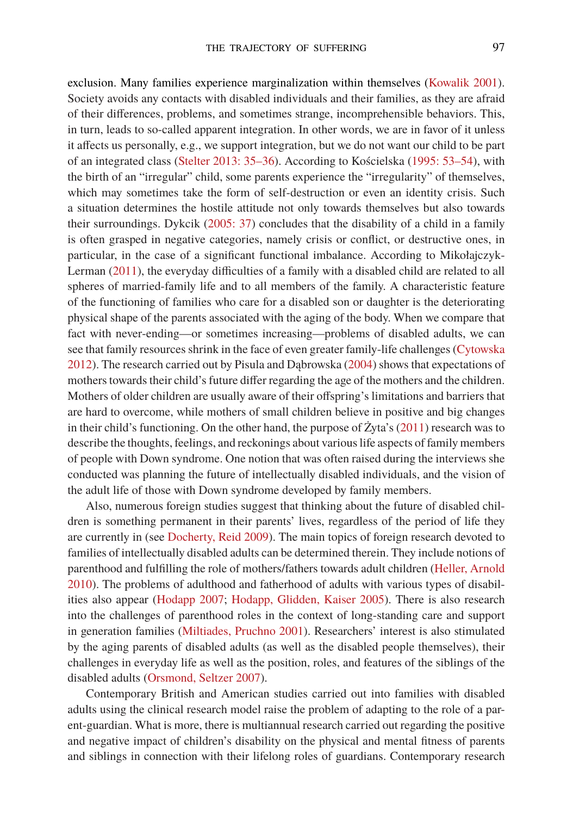exclusion. Many families experience marginalization within themselves [\(Kowalik 2001\)](#page-20-1). Society avoids any contacts with disabled individuals and their families, as they are afraid of their differences, problems, and sometimes strange, incomprehensible behaviors. This, in turn, leads to so-called apparent integration. In other words, we are in favor of it unless it affects us personally, e.g., we support integration, but we do not want our child to be part of an integrated class([Stelter 2013: 35–36](#page-20-2)). According to Kościelska [\(1995: 53–54](#page-20-0)), with the birth of an "irregular" child, some parents experience the "irregularity" of themselves, which may sometimes take the form of self-destruction or even an identity crisis. Such a situation determines the hostile attitude not only towards themselves but also towards their surroundings. Dykcik([2005: 37](#page-19-0)) concludes that the disability of a child in a family is often grasped in negative categories, namely crisis or conflict, or destructive ones, in particular, in the case of a significant functional imbalance. According to Mikołajczyk-Lerman [\(2011](#page-20-3)), the everyday difficulties of a family with a disabled child are related to all spheres of married-family life and to all members of the family. A characteristic feature of the functioning of families who care for a disabled son or daughter is the deteriorating physical shape of the parents associated with the aging of the body. When we compare that fact with never-ending—or sometimes increasing—problems of disabled adults, we can see that family resources shrink in the face of even greater family-life challenges [\(Cytowska](#page-19-1) [2012](#page-19-1)). The research carried out by Pisula and Dąbrowska [\(2004](#page-20-4)) shows that expectations of mothers towards their child's future differ regarding the age of the mothers and the children. Mothers of older children are usually aware of their offspring's limitations and barriers that are hard to overcome, while mothers of small children believe in positive and big changes in their child's functioning. On the other hand, the purpose of  $\overline{Z}$ yta's [\(2011\)](#page-21-0) research was to describe the thoughts, feelings, and reckonings about various life aspects of family members of people with Down syndrome. One notion that was often raised during the interviews she conducted was planning the future of intellectually disabled individuals, and the vision of the adult life of those with Down syndrome developed by family members.

Also, numerous foreign studies suggest that thinking about the future of disabled children is something permanent in their parents' lives, regardless of the period of life they are currently in (see [Docherty, Reid 2009](#page-19-2)). The main topics of foreign research devoted to families of intellectually disabled adults can be determined therein. They include notions of parenthood and fulfilling the role of mothers/fathers towards adult children([Heller, Arnold](#page-19-3) [2010](#page-19-3)). The problems of adulthood and fatherhood of adults with various types of disabilities also appear [\(Hodapp 2007;](#page-19-4) [Hodapp, Glidden, Kaiser 2005\)](#page-19-5). There is also research into the challenges of parenthood roles in the context of long-standing care and support in generation families([Miltiades, Pruchno 2001](#page-20-5)). Researchers' interest is also stimulated by the aging parents of disabled adults (as well as the disabled people themselves), their challenges in everyday life as well as the position, roles, and features of the siblings of the disabled adults([Orsmond, Seltzer 2007\)](#page-20-6).

Contemporary British and American studies carried out into families with disabled adults using the clinical research model raise the problem of adapting to the role of a parent-guardian. What is more, there is multiannual research carried out regarding the positive and negative impact of children's disability on the physical and mental fitness of parents and siblings in connection with their lifelong roles of guardians. Contemporary research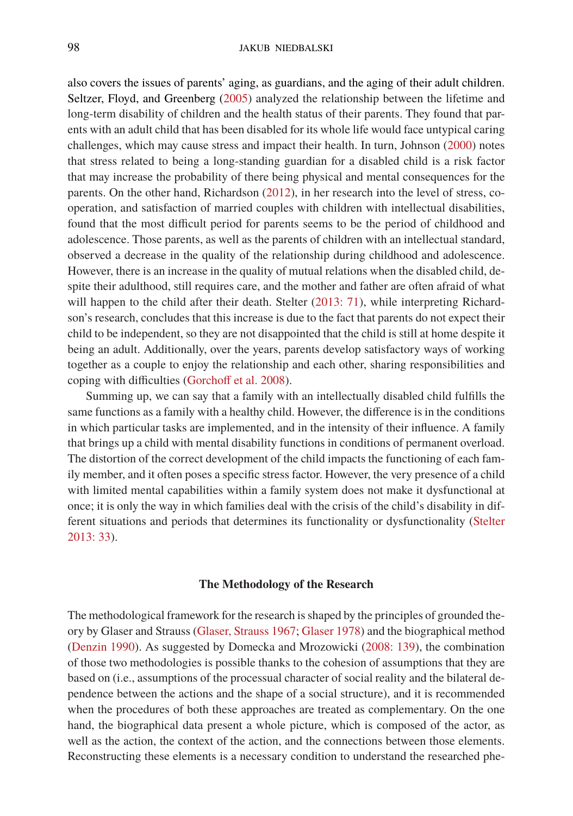also covers the issues of parents' aging, as guardians, and the aging of their adult children. Seltzer, Floyd, and Greenberg([2005\)](#page-20-7) analyzed the relationship between the lifetime and long-term disability of children and the health status of their parents. They found that parents with an adult child that has been disabled for its whole life would face untypical caring challenges, which may cause stress and impact their health. In turn, Johnson([2000](#page-20-8)) notes that stress related to being a long-standing guardian for a disabled child is a risk factor that may increase the probability of there being physical and mental consequences for the parents. On the other hand, Richardson([2012](#page-20-9)), in her research into the level of stress, cooperation, and satisfaction of married couples with children with intellectual disabilities, found that the most difficult period for parents seems to be the period of childhood and adolescence. Those parents, as well as the parents of children with an intellectual standard, observed a decrease in the quality of the relationship during childhood and adolescence. However, there is an increase in the quality of mutual relations when the disabled child, despite their adulthood, still requires care, and the mother and father are often afraid of what willhappen to the child after their death. Stelter ([2013: 71](#page-20-2)), while interpreting Richardson's research, concludes that this increase is due to the fact that parents do not expect their child to be independent, so they are not disappointed that the child is still at home despite it being an adult. Additionally, over the years, parents develop satisfactory ways of working together as a couple to enjoy the relationship and each other, sharing responsibilities and coping with difficulties([Gorchoff et al. 2008\)](#page-19-6).

Summing up, we can say that a family with an intellectually disabled child fulfills the same functions as a family with a healthy child. However, the difference is in the conditions in which particular tasks are implemented, and in the intensity of their influence. A family that brings up a child with mental disability functions in conditions of permanent overload. The distortion of the correct development of the child impacts the functioning of each family member, and it often poses a specific stress factor. However, the very presence of a child with limited mental capabilities within a family system does not make it dysfunctional at once; it is only the way in which families deal with the crisis of the child's disability in different situations and periods that determines its functionality or dysfunctionality([Stelter](#page-20-2) [2013: 33](#page-20-2)).

## **The Methodology of the Research**

The methodological framework for the research is shaped by the principles of grounded theory by Glaser and Strauss [\(Glaser, Strauss 1967;](#page-19-7) [Glaser 1978\)](#page-19-8) and the biographical method ([Denzin 1990](#page-19-9)). As suggested by Domecka and Mrozowicki([2008: 139](#page-19-10)), the combination of those two methodologies is possible thanks to the cohesion of assumptions that they are based on (i.e., assumptions of the processual character of social reality and the bilateral dependence between the actions and the shape of a social structure), and it is recommended when the procedures of both these approaches are treated as complementary. On the one hand, the biographical data present a whole picture, which is composed of the actor, as well as the action, the context of the action, and the connections between those elements. Reconstructing these elements is a necessary condition to understand the researched phe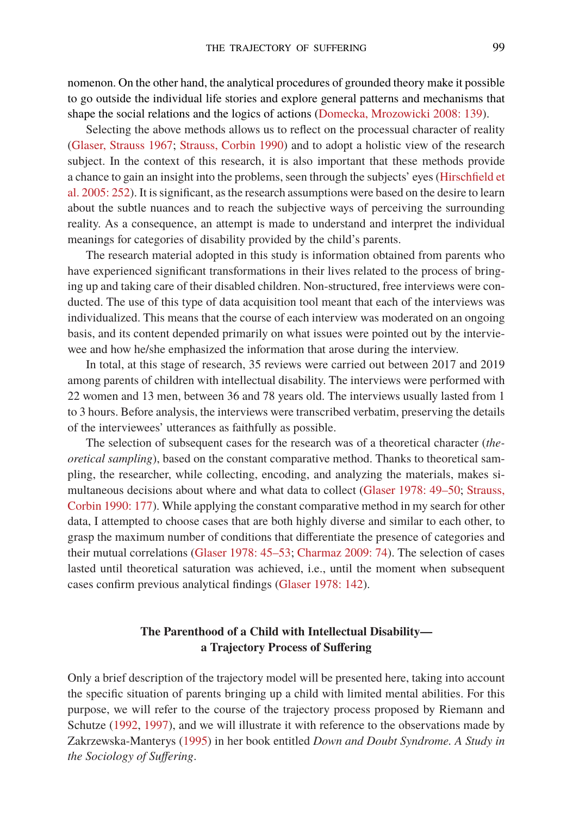nomenon. On the other hand, the analytical procedures of grounded theory make it possible to go outside the individual life stories and explore general patterns and mechanisms that shape the social relations and the logics of actions [\(Domecka, Mrozowicki 2008: 139](#page-19-10)).

Selecting the above methods allows us to reflect on the processual character of reality ([Glaser, Strauss 1967](#page-19-7); [Strauss, Corbin 1990\)](#page-20-10) and to adopt a holistic view of the research subject. In the context of this research, it is also important that these methods provide a chance to gain an insight into the problems, seen through the subjects' eyes [\(Hirschfield et](#page-19-11) [al. 2005: 252](#page-19-11)). It is significant, as the research assumptions were based on the desire to learn about the subtle nuances and to reach the subjective ways of perceiving the surrounding reality. As a consequence, an attempt is made to understand and interpret the individual meanings for categories of disability provided by the child's parents.

The research material adopted in this study is information obtained from parents who have experienced significant transformations in their lives related to the process of bringing up and taking care of their disabled children. Non-structured, free interviews were conducted. The use of this type of data acquisition tool meant that each of the interviews was individualized. This means that the course of each interview was moderated on an ongoing basis, and its content depended primarily on what issues were pointed out by the interviewee and how he/she emphasized the information that arose during the interview.

In total, at this stage of research, 35 reviews were carried out between 2017 and 2019 among parents of children with intellectual disability. The interviews were performed with 22 women and 13 men, between 36 and 78 years old. The interviews usually lasted from 1 to 3 hours. Before analysis, the interviews were transcribed verbatim, preserving the details of the interviewees' utterances as faithfully as possible.

The selection of subsequent cases for the research was of a theoretical character (*theoretical sampling*), based on the constant comparative method. Thanks to theoretical sampling, the researcher, while collecting, encoding, and analyzing the materials, makes simultaneous decisions about where and what data to collect([Glaser 1978: 49–50;](#page-19-8) [Strauss,](#page-20-10) [Corbin 1990: 177\)](#page-20-10). While applying the constant comparative method in my search for other data, I attempted to choose cases that are both highly diverse and similar to each other, to grasp the maximum number of conditions that differentiate the presence of categories and their mutual correlations [\(Glaser 1978: 45–53;](#page-19-8) [Charmaz 2009: 74\)](#page-19-12). The selection of cases lasted until theoretical saturation was achieved, i.e., until the moment when subsequent cases confirm previous analytical findings([Glaser 1978: 142\)](#page-19-8).

# **The Parenthood of a Child with Intellectual Disability a Trajectory Process of Suffering**

Only a brief description of the trajectory model will be presented here, taking into account the specific situation of parents bringing up a child with limited mental abilities. For this purpose, we will refer to the course of the trajectory process proposed by Riemann and Schutze([1992,](#page-20-11) [1997\)](#page-20-12), and we will illustrate it with reference to the observations made by Zakrzewska-Manterys([1995\)](#page-20-13) in her book entitled *Down and Doubt Syndrome. A Study in the Sociology of Suffering*.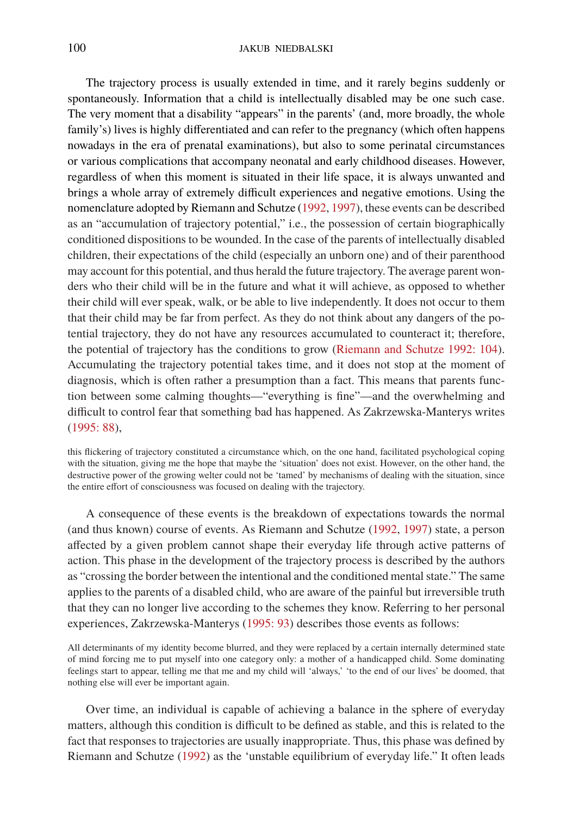The trajectory process is usually extended in time, and it rarely begins suddenly or spontaneously. Information that a child is intellectually disabled may be one such case. The very moment that a disability "appears" in the parents' (and, more broadly, the whole family's) lives is highly differentiated and can refer to the pregnancy (which often happens nowadays in the era of prenatal examinations), but also to some perinatal circumstances or various complications that accompany neonatal and early childhood diseases. However, regardless of when this moment is situated in their life space, it is always unwanted and brings a whole array of extremely difficult experiences and negative emotions. Using the nomenclature adopted by Riemann and Schutze([1992](#page-20-11), [1997\)](#page-20-12), these events can be described as an "accumulation of trajectory potential," i.e., the possession of certain biographically conditioned dispositions to be wounded. In the case of the parents of intellectually disabled children, their expectations of the child (especially an unborn one) and of their parenthood may account for this potential, and thus herald the future trajectory. The average parent wonders who their child will be in the future and what it will achieve, as opposed to whether their child will ever speak, walk, or be able to live independently. It does not occur to them that their child may be far from perfect. As they do not think about any dangers of the potential trajectory, they do not have any resources accumulated to counteract it; therefore, the potential of trajectory has the conditions to grow([Riemann and Schutze 1992: 104\)](#page-20-11). Accumulating the trajectory potential takes time, and it does not stop at the moment of diagnosis, which is often rather a presumption than a fact. This means that parents function between some calming thoughts—"everything is fine"—and the overwhelming and difficult to control fear that something bad has happened. As Zakrzewska-Manterys writes ([1995: 88\)](#page-20-13),

this flickering of trajectory constituted a circumstance which, on the one hand, facilitated psychological coping with the situation, giving me the hope that maybe the 'situation' does not exist. However, on the other hand, the destructive power of the growing welter could not be 'tamed' by mechanisms of dealing with the situation, since the entire effort of consciousness was focused on dealing with the trajectory.

A consequence of these events is the breakdown of expectations towards the normal (and thus known) course of events. As Riemann and Schutze [\(1992](#page-20-11), [1997](#page-20-12)) state, a person affected by a given problem cannot shape their everyday life through active patterns of action. This phase in the development of the trajectory process is described by the authors as "crossing the border between the intentional and the conditioned mental state." The same applies to the parents of a disabled child, who are aware of the painful but irreversible truth that they can no longer live according to the schemes they know. Referring to her personal experiences, Zakrzewska-Manterys [\(1995: 93\)](#page-20-13) describes those events as follows:

All determinants of my identity become blurred, and they were replaced by a certain internally determined state of mind forcing me to put myself into one category only: a mother of a handicapped child. Some dominating feelings start to appear, telling me that me and my child will 'always,' 'to the end of our lives' be doomed, that nothing else will ever be important again.

Over time, an individual is capable of achieving a balance in the sphere of everyday matters, although this condition is difficult to be defined as stable, and this is related to the fact that responses to trajectories are usually inappropriate. Thus, this phase was defined by Riemann and Schutze [\(1992](#page-20-11)) as the 'unstable equilibrium of everyday life." It often leads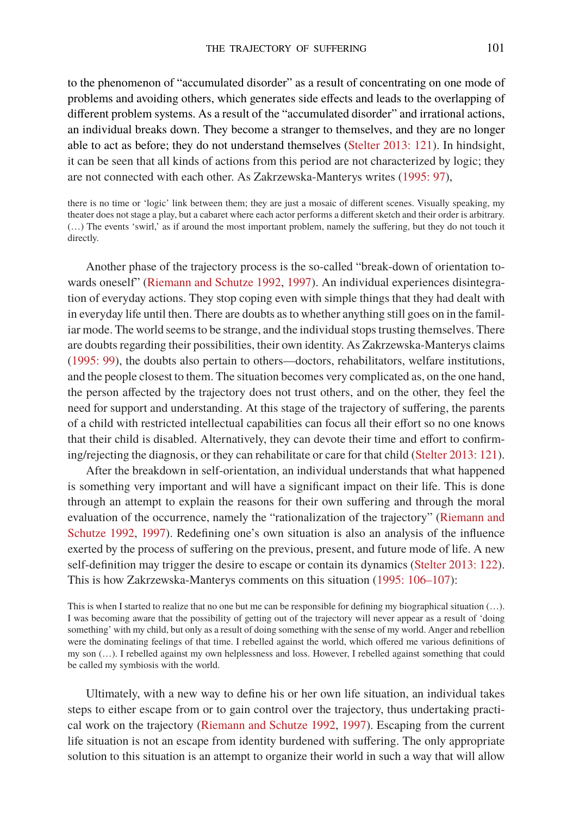to the phenomenon of "accumulated disorder" as a result of concentrating on one mode of problems and avoiding others, which generates side effects and leads to the overlapping of different problem systems. As a result of the "accumulated disorder" and irrational actions, an individual breaks down. They become a stranger to themselves, and they are no longer able to act as before; they do not understand themselves [\(Stelter 2013: 121](#page-20-2)). In hindsight, it can be seen that all kinds of actions from this period are not characterized by logic; they are not connected with each other. As Zakrzewska-Manterys writes([1995: 97\)](#page-20-13),

there is no time or 'logic' link between them; they are just a mosaic of different scenes. Visually speaking, my theater does not stage a play, but a cabaret where each actor performs a different sketch and their order is arbitrary. (…) The events 'swirl,' as if around the most important problem, namely the suffering, but they do not touch it directly.

Another phase of the trajectory process is the so-called "break-down of orientation towards oneself" [\(Riemann and Schutze 1992,](#page-20-11) [1997](#page-20-12)). An individual experiences disintegration of everyday actions. They stop coping even with simple things that they had dealt with in everyday life until then. There are doubts as to whether anything still goes on in the familiar mode. The world seems to be strange, and the individual stops trusting themselves. There are doubts regarding their possibilities, their own identity. As Zakrzewska-Manterys claims ([1995: 99](#page-20-13)), the doubts also pertain to others—doctors, rehabilitators, welfare institutions, and the people closest to them. The situation becomes very complicated as, on the one hand, the person affected by the trajectory does not trust others, and on the other, they feel the need for support and understanding. At this stage of the trajectory of suffering, the parents of a child with restricted intellectual capabilities can focus all their effort so no one knows that their child is disabled. Alternatively, they can devote their time and effort to confirming/rejecting the diagnosis, or they can rehabilitate or care for that child [\(Stelter 2013: 121\)](#page-20-2).

After the breakdown in self-orientation, an individual understands that what happened is something very important and will have a significant impact on their life. This is done through an attempt to explain the reasons for their own suffering and through the moral evaluation of the occurrence, namely the "rationalization of the trajectory" [\(Riemann and](#page-20-11) [Schutze 1992,](#page-20-11) [1997](#page-20-12)). Redefining one's own situation is also an analysis of the influence exerted by the process of suffering on the previous, present, and future mode of life. A new self-definition may trigger the desire to escape or contain its dynamics([Stelter 2013: 122\)](#page-20-2). This is how Zakrzewska-Manterys comments on this situation([1995: 106–107\)](#page-20-13):

Ultimately, with a new way to define his or her own life situation, an individual takes steps to either escape from or to gain control over the trajectory, thus undertaking practical work on the trajectory [\(Riemann and Schutze 1992](#page-20-11), [1997](#page-20-12)). Escaping from the current life situation is not an escape from identity burdened with suffering. The only appropriate solution to this situation is an attempt to organize their world in such a way that will allow

This is when I started to realize that no one but me can be responsible for defining my biographical situation (…). I was becoming aware that the possibility of getting out of the trajectory will never appear as a result of 'doing something' with my child, but only as a result of doing something with the sense of my world. Anger and rebellion were the dominating feelings of that time. I rebelled against the world, which offered me various definitions of my son (…). I rebelled against my own helplessness and loss. However, I rebelled against something that could be called my symbiosis with the world.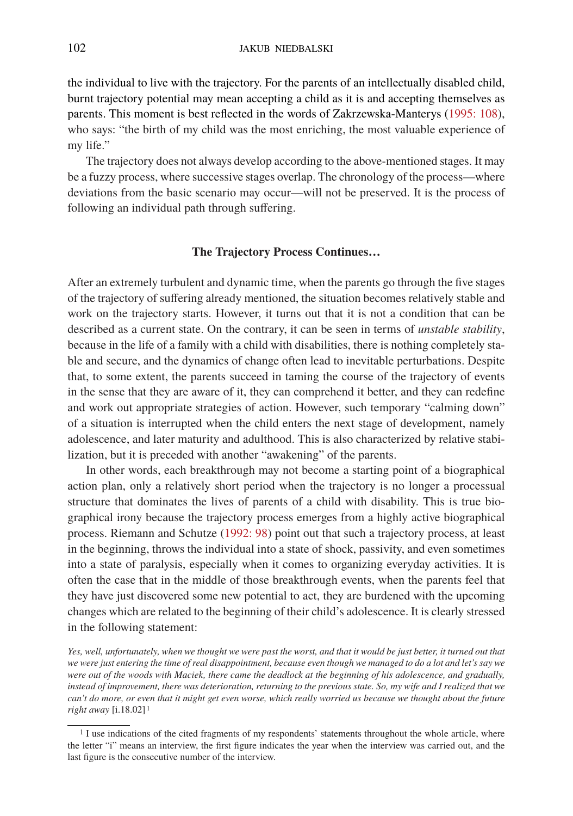the individual to live with the trajectory. For the parents of an intellectually disabled child, burnt trajectory potential may mean accepting a child as it is and accepting themselves as parents. This moment is best reflected in the words of Zakrzewska-Manterys [\(1995: 108\)](#page-20-13), who says: "the birth of my child was the most enriching, the most valuable experience of my life."

The trajectory does not always develop according to the above-mentioned stages. It may be a fuzzy process, where successive stages overlap. The chronology of the process—where deviations from the basic scenario may occur—will not be preserved. It is the process of following an individual path through suffering.

#### **The Trajectory Process Continues…**

After an extremely turbulent and dynamic time, when the parents go through the five stages of the trajectory of suffering already mentioned, the situation becomes relatively stable and work on the trajectory starts. However, it turns out that it is not a condition that can be described as a current state. On the contrary, it can be seen in terms of *unstable stability*, because in the life of a family with a child with disabilities, there is nothing completely stable and secure, and the dynamics of change often lead to inevitable perturbations. Despite that, to some extent, the parents succeed in taming the course of the trajectory of events in the sense that they are aware of it, they can comprehend it better, and they can redefine and work out appropriate strategies of action. However, such temporary "calming down" of a situation is interrupted when the child enters the next stage of development, namely adolescence, and later maturity and adulthood. This is also characterized by relative stabilization, but it is preceded with another "awakening" of the parents.

In other words, each breakthrough may not become a starting point of a biographical action plan, only a relatively short period when the trajectory is no longer a processual structure that dominates the lives of parents of a child with disability. This is true biographical irony because the trajectory process emerges from a highly active biographical process. Riemann and Schutze [\(1992: 98\)](#page-20-11) point out that such a trajectory process, at least in the beginning, throws the individual into a state of shock, passivity, and even sometimes into a state of paralysis, especially when it comes to organizing everyday activities. It is often the case that in the middle of those breakthrough events, when the parents feel that they have just discovered some new potential to act, they are burdened with the upcoming changes which are related to the beginning of their child's adolescence. It is clearly stressed in the following statement:

*Yes, well, unfortunately, when we thought we were past the worst, and that it would be just better, it turned out that we were just entering the time of real disappointment, because even though we managed to do a lot and let's say we were out of the woods with Maciek, there came the deadlock at the beginning of his adolescence, and gradually, instead of improvement, there was deterioration, returning to the previous state. So, my wife and I realized that we can't do more, or even that it might get even worse, which really worried us because we thought about the future right away* [i.18.02] [1](#page-7-0)

<span id="page-7-0"></span><sup>&</sup>lt;sup>1</sup> I use indications of the cited fragments of my respondents' statements throughout the whole article, where the letter "i" means an interview, the first figure indicates the year when the interview was carried out, and the last figure is the consecutive number of the interview.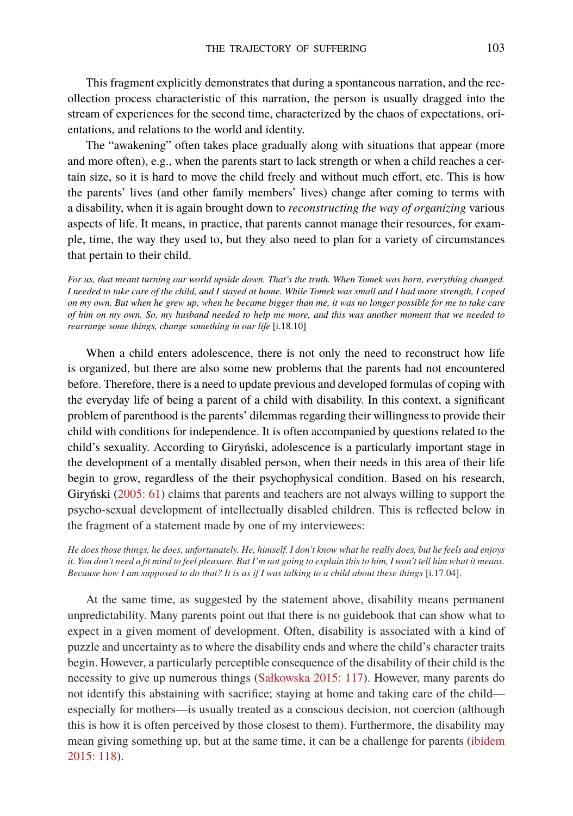This fragment explicitly demonstrates that during a spontaneous narration, and the recollection process characteristic of this narration, the person is usually dragged into the stream of experiences for the second time, characterized by the chaos of expectations, orientations, and relations to the world and identity.

The "awakening" often takes place gradually along with situations that appear (more and more often), e.g., when the parents start to lack strength or when a child reaches a certain size, so it is hard to move the child freely and without much effort, etc. This is how the parents' lives (and other family members' lives) change after coming to terms with a disability, when it is again brought down to *reconstructing the way of organizing* various aspects of life. It means, in practice, that parents cannot manage their resources, for example, time, the way they used to, but they also need to plan for a variety of circumstances that pertain to their child.

*For us, that meant turning our world upside down. That's the truth. When Tomek was born, everything changed. I needed to take care of the child, and I stayed at home. While Tomek was small and I had more strength, I coped on my own. But when he grew up, when he became bigger than me, it was no longer possible for me to take care of him on my own. So, my husband needed to help me more, and this was another moment that we needed to rearrange some things, change something in our life* [i.18.10]

When a child enters adolescence, there is not only the need to reconstruct how life is organized, but there are also some new problems that the parents had not encountered before. Therefore, there is a need to update previous and developed formulas of coping with the everyday life of being a parent of a child with disability. In this context, a significant problem of parenthood is the parents' dilemmas regarding their willingness to provide their child with conditions for independence. It is often accompanied by questions related to the child's sexuality. According to Giryński, adolescence is a particularly important stage in the development of a mentally disabled person, when their needs in this area of their life begin to grow, regardless of the their psychophysical condition. Based on his research, Giryński [\(2005: 61](#page-19-13)) claims that parents and teachers are not always willing to support the psycho-sexual development of intellectually disabled children. This is reflected below in the fragment of a statement made by one of my interviewees:

*He does those things, he does, unfortunately. He, himself. I don't know what he really does, but he feels and enjoys it. You don't need a fit mind to feel pleasure. But I'm not going to explain this to him, I won't tell him what it means. Because how I am supposed to do that? It is as if I was talking to a child about these things* [i.17.04].

At the same time, as suggested by the statement above, disability means permanent unpredictability. Many parents point out that there is no guidebook that can show what to expect in a given moment of development. Often, disability is associated with a kind of puzzle and uncertainty as to where the disability ends and where the child's character traits begin. However, a particularly perceptible consequence of the disability of their child is the necessity to give up numerous things [\(Sałkowska 2015: 117\)](#page-20-14). However, many parents do not identify this abstaining with sacrifice; staying at home and taking care of the child especially for mothers—is usually treated as a conscious decision, not coercion (although this is how it is often perceived by those closest to them). Furthermore, the disability may mean giving something up, but at the same time, it can be a challenge for parents([ibidem](#page-20-14) [2015: 118](#page-20-14)).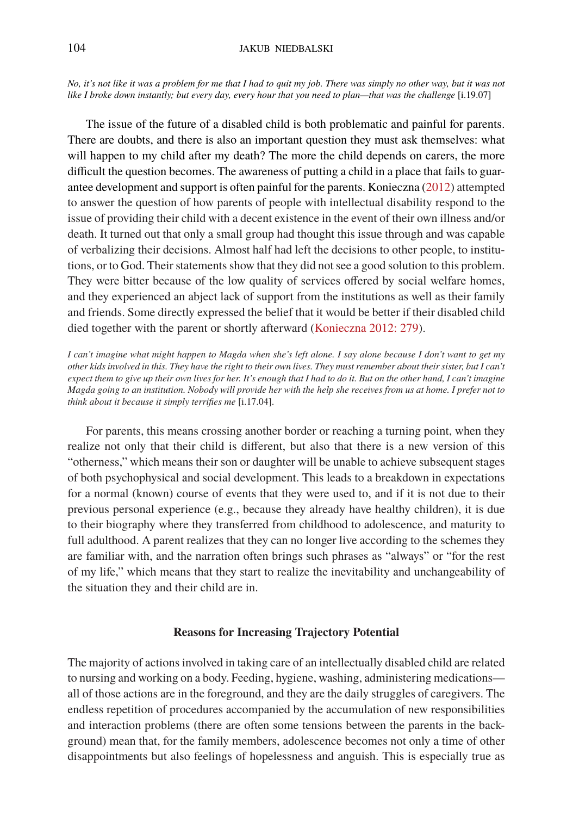*No, it's not like it was a problem for me that I had to quit my job. There was simply no other way, but it was not like I broke down instantly; but every day, every hour that you need to plan—that was the challenge* [i.19.07]

The issue of the future of a disabled child is both problematic and painful for parents. There are doubts, and there is also an important question they must ask themselves: what will happen to my child after my death? The more the child depends on carers, the more difficult the question becomes. The awareness of putting a child in a place that fails to guarantee development and support is often painful for the parents. Konieczna [\(2012\)](#page-20-15) attempted to answer the question of how parents of people with intellectual disability respond to the issue of providing their child with a decent existence in the event of their own illness and/or death. It turned out that only a small group had thought this issue through and was capable of verbalizing their decisions. Almost half had left the decisions to other people, to institutions, or to God. Their statements show that they did not see a good solution to this problem. They were bitter because of the low quality of services offered by social welfare homes, and they experienced an abject lack of support from the institutions as well as their family and friends. Some directly expressed the belief that it would be better if their disabled child died together with the parent or shortly afterward([Konieczna 2012: 279\)](#page-20-15).

*I can't imagine what might happen to Magda when she's left alone. I say alone because I don't want to get my other kids involved in this. They have the right to their own lives. They must remember about their sister, but I can't expect them to give up their own lives for her. It's enough that I had to do it. But on the other hand, I can't imagine Magda going to an institution. Nobody will provide her with the help she receives from us at home. I prefer not to think about it because it simply terrifies me* [i.17.04].

For parents, this means crossing another border or reaching a turning point, when they realize not only that their child is different, but also that there is a new version of this "otherness," which means their son or daughter will be unable to achieve subsequent stages of both psychophysical and social development. This leads to a breakdown in expectations for a normal (known) course of events that they were used to, and if it is not due to their previous personal experience (e.g., because they already have healthy children), it is due to their biography where they transferred from childhood to adolescence, and maturity to full adulthood. A parent realizes that they can no longer live according to the schemes they are familiar with, and the narration often brings such phrases as "always" or "for the rest of my life," which means that they start to realize the inevitability and unchangeability of the situation they and their child are in.

## **Reasons for Increasing Trajectory Potential**

The majority of actions involved in taking care of an intellectually disabled child are related to nursing and working on a body. Feeding, hygiene, washing, administering medications all of those actions are in the foreground, and they are the daily struggles of caregivers. The endless repetition of procedures accompanied by the accumulation of new responsibilities and interaction problems (there are often some tensions between the parents in the background) mean that, for the family members, adolescence becomes not only a time of other disappointments but also feelings of hopelessness and anguish. This is especially true as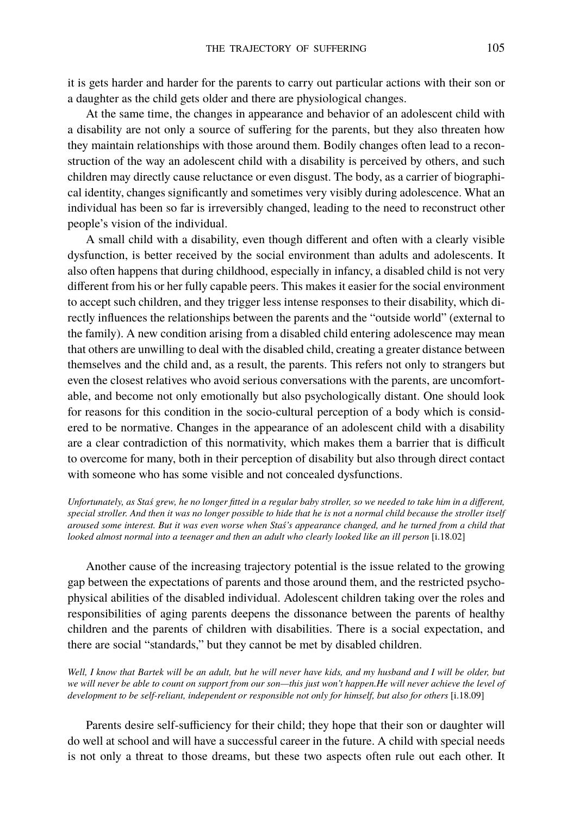it is gets harder and harder for the parents to carry out particular actions with their son or a daughter as the child gets older and there are physiological changes.

At the same time, the changes in appearance and behavior of an adolescent child with a disability are not only a source of suffering for the parents, but they also threaten how they maintain relationships with those around them. Bodily changes often lead to a reconstruction of the way an adolescent child with a disability is perceived by others, and such children may directly cause reluctance or even disgust. The body, as a carrier of biographical identity, changes significantly and sometimes very visibly during adolescence. What an individual has been so far is irreversibly changed, leading to the need to reconstruct other people's vision of the individual.

A small child with a disability, even though different and often with a clearly visible dysfunction, is better received by the social environment than adults and adolescents. It also often happens that during childhood, especially in infancy, a disabled child is not very different from his or her fully capable peers. This makes it easier for the social environment to accept such children, and they trigger less intense responses to their disability, which directly influences the relationships between the parents and the "outside world" (external to the family). A new condition arising from a disabled child entering adolescence may mean that others are unwilling to deal with the disabled child, creating a greater distance between themselves and the child and, as a result, the parents. This refers not only to strangers but even the closest relatives who avoid serious conversations with the parents, are uncomfortable, and become not only emotionally but also psychologically distant. One should look for reasons for this condition in the socio-cultural perception of a body which is considered to be normative. Changes in the appearance of an adolescent child with a disability are a clear contradiction of this normativity, which makes them a barrier that is difficult to overcome for many, both in their perception of disability but also through direct contact with someone who has some visible and not concealed dysfunctions.

*Unfortunately, as Staś grew, he no longer fitted in a regular baby stroller, so we needed to take him in a different, special stroller. And then it was no longer possible to hide that he is not a normal child because the stroller itself aroused some interest. But it was even worse when Staś's appearance changed, and he turned from a child that looked almost normal into a teenager and then an adult who clearly looked like an ill person* [i.18.02]

Another cause of the increasing trajectory potential is the issue related to the growing gap between the expectations of parents and those around them, and the restricted psychophysical abilities of the disabled individual. Adolescent children taking over the roles and responsibilities of aging parents deepens the dissonance between the parents of healthy children and the parents of children with disabilities. There is a social expectation, and there are social "standards," but they cannot be met by disabled children.

*Well, I know that Bartek will be an adult, but he will never have kids, and my husband and I will be older, but we will never be able to count on support from our son—this just won't happen.He will never achieve the level of development to be self-reliant, independent or responsible not only for himself, but also for others* [i.18.09]

Parents desire self-sufficiency for their child; they hope that their son or daughter will do well at school and will have a successful career in the future. A child with special needs is not only a threat to those dreams, but these two aspects often rule out each other. It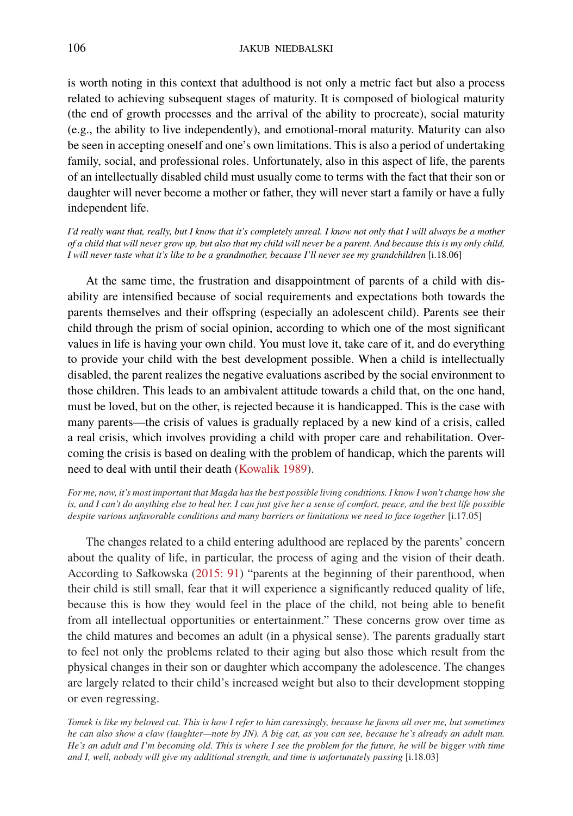is worth noting in this context that adulthood is not only a metric fact but also a process related to achieving subsequent stages of maturity. It is composed of biological maturity (the end of growth processes and the arrival of the ability to procreate), social maturity (e.g., the ability to live independently), and emotional-moral maturity. Maturity can also be seen in accepting oneself and one's own limitations. This is also a period of undertaking family, social, and professional roles. Unfortunately, also in this aspect of life, the parents of an intellectually disabled child must usually come to terms with the fact that their son or daughter will never become a mother or father, they will never start a family or have a fully independent life.

*I'd really want that, really, but I know that it's completely unreal. I know not only that I will always be a mother of a child that will never grow up, but also that my child will never be a parent. And because this is my only child, I will never taste what it's like to be a grandmother, because I'll never see my grandchildren* [i.18.06]

At the same time, the frustration and disappointment of parents of a child with disability are intensified because of social requirements and expectations both towards the parents themselves and their offspring (especially an adolescent child). Parents see their child through the prism of social opinion, according to which one of the most significant values in life is having your own child. You must love it, take care of it, and do everything to provide your child with the best development possible. When a child is intellectually disabled, the parent realizes the negative evaluations ascribed by the social environment to those children. This leads to an ambivalent attitude towards a child that, on the one hand, must be loved, but on the other, is rejected because it is handicapped. This is the case with many parents—the crisis of values is gradually replaced by a new kind of a crisis, called a real crisis, which involves providing a child with proper care and rehabilitation. Overcoming the crisis is based on dealing with the problem of handicap, which the parents will need to deal with until their death [\(Kowalik 1989\)](#page-20-16).

*For me, now, it's most important that Magda has the best possible living conditions. I know I won't change how she is, and I can't do anything else to heal her. I can just give her a sense of comfort, peace, and the best life possible despite various unfavorable conditions and many barriers or limitations we need to face together* [i.17.05]

The changes related to a child entering adulthood are replaced by the parents' concern about the quality of life, in particular, the process of aging and the vision of their death. According to Sałkowska([2015: 91\)](#page-20-14) "parents at the beginning of their parenthood, when their child is still small, fear that it will experience a significantly reduced quality of life, because this is how they would feel in the place of the child, not being able to benefit from all intellectual opportunities or entertainment." These concerns grow over time as the child matures and becomes an adult (in a physical sense). The parents gradually start to feel not only the problems related to their aging but also those which result from the physical changes in their son or daughter which accompany the adolescence. The changes are largely related to their child's increased weight but also to their development stopping or even regressing.

*Tomek is like my beloved cat. This is how I refer to him caressingly, because he fawns all over me, but sometimes he can also show a claw (laughter—note by JN). A big cat, as you can see, because he's already an adult man. He's an adult and I'm becoming old. This is where I see the problem for the future, he will be bigger with time and I, well, nobody will give my additional strength, and time is unfortunately passing* [i.18.03]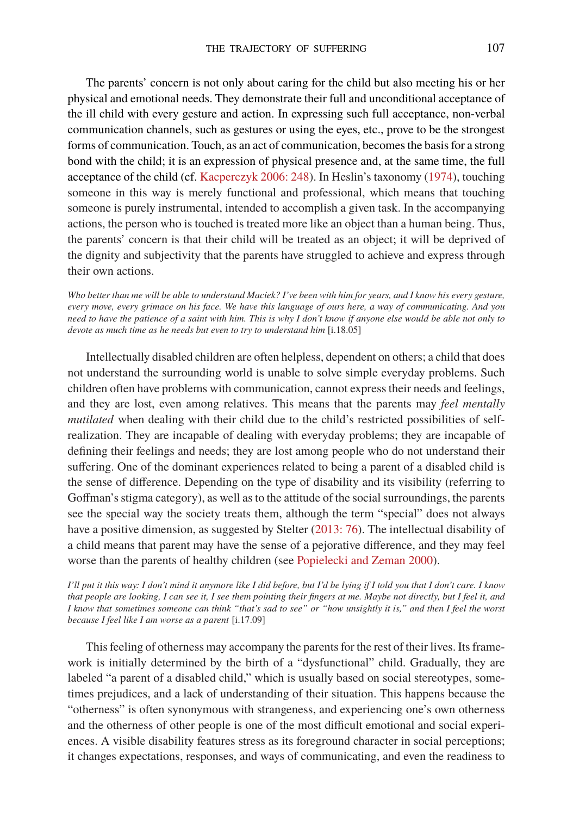The parents' concern is not only about caring for the child but also meeting his or her physical and emotional needs. They demonstrate their full and unconditional acceptance of the ill child with every gesture and action. In expressing such full acceptance, non-verbal communication channels, such as gestures or using the eyes, etc., prove to be the strongest forms of communication. Touch, as an act of communication, becomes the basis for a strong bond with the child; it is an expression of physical presence and, at the same time, the full acceptance of the child (cf. [Kacperczyk 2006: 248\)](#page-20-17). In Heslin's taxonomy([1974\)](#page-19-14), touching someone in this way is merely functional and professional, which means that touching someone is purely instrumental, intended to accomplish a given task. In the accompanying actions, the person who is touched is treated more like an object than a human being. Thus, the parents' concern is that their child will be treated as an object; it will be deprived of the dignity and subjectivity that the parents have struggled to achieve and express through their own actions.

*Who better than me will be able to understand Maciek? I've been with him for years, and I know his every gesture, every move, every grimace on his face. We have this language of ours here, a way of communicating. And you need to have the patience of a saint with him. This is why I don't know if anyone else would be able not only to devote as much time as he needs but even to try to understand him* [i.18.05]

Intellectually disabled children are often helpless, dependent on others; a child that does not understand the surrounding world is unable to solve simple everyday problems. Such children often have problems with communication, cannot express their needs and feelings, and they are lost, even among relatives. This means that the parents may *feel mentally mutilated* when dealing with their child due to the child's restricted possibilities of selfrealization. They are incapable of dealing with everyday problems; they are incapable of defining their feelings and needs; they are lost among people who do not understand their suffering. One of the dominant experiences related to being a parent of a disabled child is the sense of difference. Depending on the type of disability and its visibility (referring to Goffman's stigma category), as well as to the attitude of the social surroundings, the parents see the special way the society treats them, although the term "special" does not always have a positive dimension, as suggested by Stelter [\(2013: 76](#page-20-2)). The intellectual disability of a child means that parent may have the sense of a pejorative difference, and they may feel worse than the parents of healthy children (see [Popielecki and Zeman 2000\)](#page-20-18).

*I'll put it this way: I don't mind it anymore like I did before, but I'd be lying if I told you that I don't care. I know that people are looking, I can see it, I see them pointing their fingers at me. Maybe not directly, but I feel it, and I know that sometimes someone can think "that's sad to see" or "how unsightly it is," and then I feel the worst because I feel like I am worse as a parent* [i.17.09]

This feeling of otherness may accompany the parents for the rest of their lives. Its framework is initially determined by the birth of a "dysfunctional" child. Gradually, they are labeled "a parent of a disabled child," which is usually based on social stereotypes, sometimes prejudices, and a lack of understanding of their situation. This happens because the "otherness" is often synonymous with strangeness, and experiencing one's own otherness and the otherness of other people is one of the most difficult emotional and social experiences. A visible disability features stress as its foreground character in social perceptions; it changes expectations, responses, and ways of communicating, and even the readiness to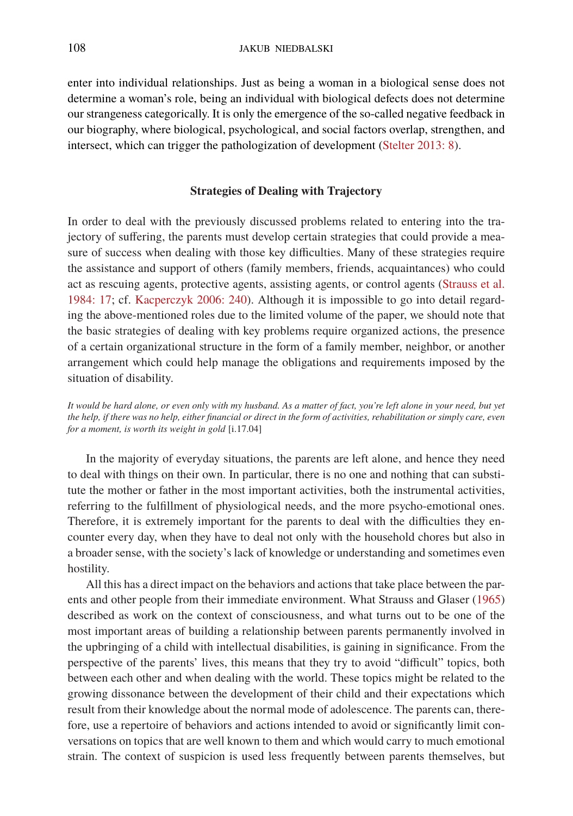enter into individual relationships. Just as being a woman in a biological sense does not determine a woman's role, being an individual with biological defects does not determine our strangeness categorically. It is only the emergence of the so-called negative feedback in our biography, where biological, psychological, and social factors overlap, strengthen, and intersect, which can trigger the pathologization of development([Stelter 2013: 8](#page-20-2)).

## **Strategies of Dealing with Trajectory**

In order to deal with the previously discussed problems related to entering into the trajectory of suffering, the parents must develop certain strategies that could provide a measure of success when dealing with those key difficulties. Many of these strategies require the assistance and support of others (family members, friends, acquaintances) who could act as rescuing agents, protective agents, assisting agents, or control agents [\(Strauss et al.](#page-20-19) [1984: 17](#page-20-19); cf. [Kacperczyk 2006: 240\)](#page-20-17). Although it is impossible to go into detail regarding the above-mentioned roles due to the limited volume of the paper, we should note that the basic strategies of dealing with key problems require organized actions, the presence of a certain organizational structure in the form of a family member, neighbor, or another arrangement which could help manage the obligations and requirements imposed by the situation of disability.

*It would be hard alone, or even only with my husband. As a matter of fact, you're left alone in your need, but yet the help, if there was no help, either financial or direct in the form of activities, rehabilitation or simply care, even for a moment, is worth its weight in gold* [i.17.04]

In the majority of everyday situations, the parents are left alone, and hence they need to deal with things on their own. In particular, there is no one and nothing that can substitute the mother or father in the most important activities, both the instrumental activities, referring to the fulfillment of physiological needs, and the more psycho-emotional ones. Therefore, it is extremely important for the parents to deal with the difficulties they encounter every day, when they have to deal not only with the household chores but also in a broader sense, with the society's lack of knowledge or understanding and sometimes even hostility.

All this has a direct impact on the behaviors and actions that take place between the parents and other people from their immediate environment. What Strauss and Glaser [\(1965](#page-20-20)) described as work on the context of consciousness, and what turns out to be one of the most important areas of building a relationship between parents permanently involved in the upbringing of a child with intellectual disabilities, is gaining in significance. From the perspective of the parents' lives, this means that they try to avoid "difficult" topics, both between each other and when dealing with the world. These topics might be related to the growing dissonance between the development of their child and their expectations which result from their knowledge about the normal mode of adolescence. The parents can, therefore, use a repertoire of behaviors and actions intended to avoid or significantly limit conversations on topics that are well known to them and which would carry to much emotional strain. The context of suspicion is used less frequently between parents themselves, but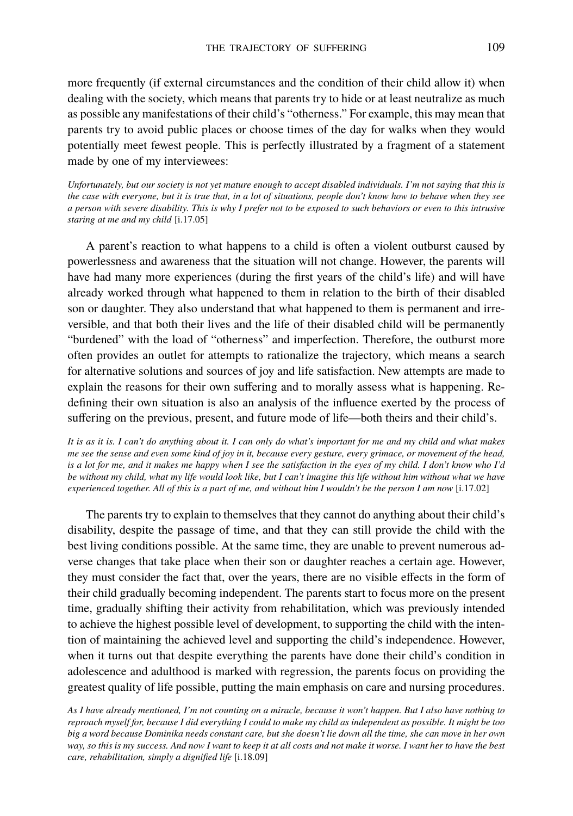more frequently (if external circumstances and the condition of their child allow it) when dealing with the society, which means that parents try to hide or at least neutralize as much as possible any manifestations of their child's "otherness." For example, this may mean that parents try to avoid public places or choose times of the day for walks when they would potentially meet fewest people. This is perfectly illustrated by a fragment of a statement made by one of my interviewees:

*Unfortunately, but our society is not yet mature enough to accept disabled individuals. I'm not saying that this is the case with everyone, but it is true that, in a lot of situations, people don't know how to behave when they see a person with severe disability. This is why I prefer not to be exposed to such behaviors or even to this intrusive staring at me and my child* [i.17.05]

A parent's reaction to what happens to a child is often a violent outburst caused by powerlessness and awareness that the situation will not change. However, the parents will have had many more experiences (during the first years of the child's life) and will have already worked through what happened to them in relation to the birth of their disabled son or daughter. They also understand that what happened to them is permanent and irreversible, and that both their lives and the life of their disabled child will be permanently "burdened" with the load of "otherness" and imperfection. Therefore, the outburst more often provides an outlet for attempts to rationalize the trajectory, which means a search for alternative solutions and sources of joy and life satisfaction. New attempts are made to explain the reasons for their own suffering and to morally assess what is happening. Redefining their own situation is also an analysis of the influence exerted by the process of suffering on the previous, present, and future mode of life—both theirs and their child's.

*It is as it is. I can't do anything about it. I can only do what's important for me and my child and what makes me see the sense and even some kind of joy in it, because every gesture, every grimace, or movement of the head, is a lot for me, and it makes me happy when I see the satisfaction in the eyes of my child. I don't know who I'd be without my child, what my life would look like, but I can't imagine this life without him without what we have experienced together. All of this is a part of me, and without him I wouldn't be the person I am now* [i.17.02]

The parents try to explain to themselves that they cannot do anything about their child's disability, despite the passage of time, and that they can still provide the child with the best living conditions possible. At the same time, they are unable to prevent numerous adverse changes that take place when their son or daughter reaches a certain age. However, they must consider the fact that, over the years, there are no visible effects in the form of their child gradually becoming independent. The parents start to focus more on the present time, gradually shifting their activity from rehabilitation, which was previously intended to achieve the highest possible level of development, to supporting the child with the intention of maintaining the achieved level and supporting the child's independence. However, when it turns out that despite everything the parents have done their child's condition in adolescence and adulthood is marked with regression, the parents focus on providing the greatest quality of life possible, putting the main emphasis on care and nursing procedures.

*As I have already mentioned, I'm not counting on a miracle, because it won't happen. But I also have nothing to reproach myself for, because I did everything I could to make my child as independent as possible. It might be too big a word because Dominika needs constant care, but she doesn't lie down all the time, she can move in her own way, so this is my success. And now I want to keep it at all costs and not make it worse. I want her to have the best care, rehabilitation, simply a dignified life* [i.18.09]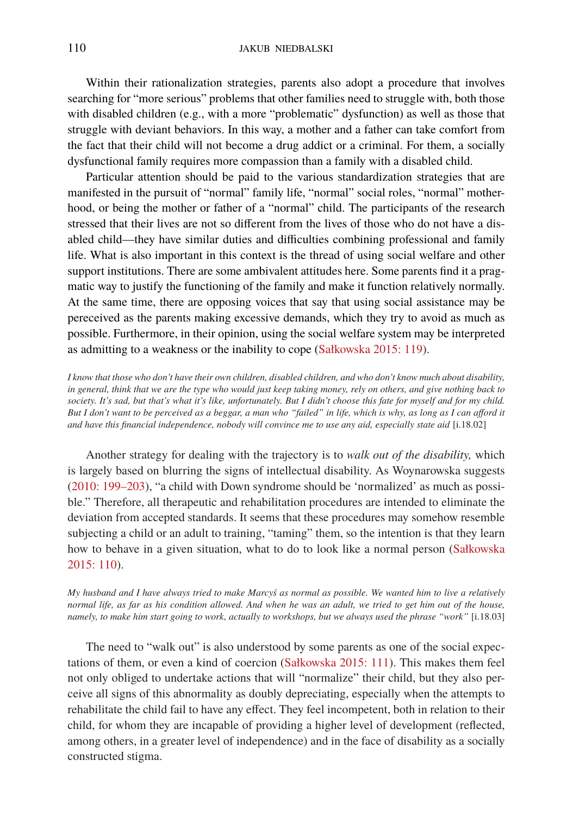Within their rationalization strategies, parents also adopt a procedure that involves searching for "more serious" problems that other families need to struggle with, both those with disabled children (e.g., with a more "problematic" dysfunction) as well as those that struggle with deviant behaviors. In this way, a mother and a father can take comfort from the fact that their child will not become a drug addict or a criminal. For them, a socially dysfunctional family requires more compassion than a family with a disabled child.

Particular attention should be paid to the various standardization strategies that are manifested in the pursuit of "normal" family life, "normal" social roles, "normal" motherhood, or being the mother or father of a "normal" child. The participants of the research stressed that their lives are not so different from the lives of those who do not have a disabled child—they have similar duties and difficulties combining professional and family life. What is also important in this context is the thread of using social welfare and other support institutions. There are some ambivalent attitudes here. Some parents find it a pragmatic way to justify the functioning of the family and make it function relatively normally. At the same time, there are opposing voices that say that using social assistance may be pereceived as the parents making excessive demands, which they try to avoid as much as possible. Furthermore, in their opinion, using the social welfare system may be interpreted as admitting to a weakness or the inability to cope [\(Sałkowska 2015: 119](#page-20-14)).

*I know that those who don't have their own children, disabled children, and who don't know much about disability, in general, think that we are the type who would just keep taking money, rely on others, and give nothing back to society. It's sad, but that's what it's like, unfortunately. But I didn't choose this fate for myself and for my child. But I don't want to be perceived as a beggar, a man who "failed" in life, which is why, as long as I can afford it and have this financial independence, nobody will convince me to use any aid, especially state aid* [i.18.02]

Another strategy for dealing with the trajectory is to *walk out of the disability,* which is largely based on blurring the signs of intellectual disability. As Woynarowska suggests ([2010: 199–203\)](#page-20-21), "a child with Down syndrome should be 'normalized' as much as possible." Therefore, all therapeutic and rehabilitation procedures are intended to eliminate the deviation from accepted standards. It seems that these procedures may somehow resemble subjecting a child or an adult to training, "taming" them, so the intention is that they learn how to behave in a given situation, what to do to look like a normal person [\(Sałkowska](#page-20-14) [2015: 110](#page-20-14)).

*My husband and I have always tried to make Marcyś as normal as possible. We wanted him to live a relatively normal life, as far as his condition allowed. And when he was an adult, we tried to get him out of the house, namely, to make him start going to work, actually to workshops, but we always used the phrase "work"* [i.18.03]

The need to "walk out" is also understood by some parents as one of the social expectations of them, or even a kind of coercion [\(Sałkowska 2015: 111\)](#page-20-14). This makes them feel not only obliged to undertake actions that will "normalize" their child, but they also perceive all signs of this abnormality as doubly depreciating, especially when the attempts to rehabilitate the child fail to have any effect. They feel incompetent, both in relation to their child, for whom they are incapable of providing a higher level of development (reflected, among others, in a greater level of independence) and in the face of disability as a socially constructed stigma.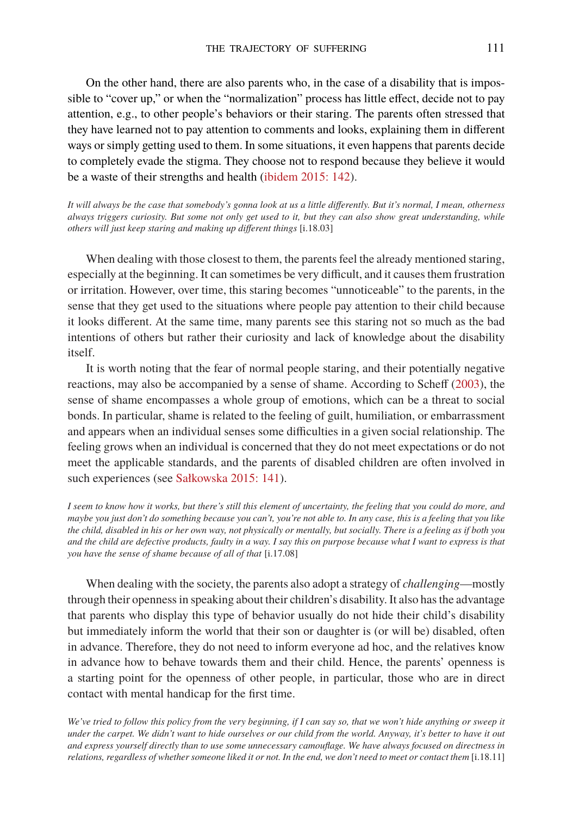On the other hand, there are also parents who, in the case of a disability that is impossible to "cover up," or when the "normalization" process has little effect, decide not to pay attention, e.g., to other people's behaviors or their staring. The parents often stressed that they have learned not to pay attention to comments and looks, explaining them in different ways or simply getting used to them. In some situations, it even happens that parents decide to completely evade the stigma. They choose not to respond because they believe it would be a waste of their strengths and health([ibidem 2015: 142](#page-20-14)).

*It will always be the case that somebody's gonna look at us a little differently. But it's normal, I mean, otherness always triggers curiosity. But some not only get used to it, but they can also show great understanding, while others will just keep staring and making up different things* [i.18.03]

When dealing with those closest to them, the parents feel the already mentioned staring, especially at the beginning. It can sometimes be very difficult, and it causes them frustration or irritation. However, over time, this staring becomes "unnoticeable" to the parents, in the sense that they get used to the situations where people pay attention to their child because it looks different. At the same time, many parents see this staring not so much as the bad intentions of others but rather their curiosity and lack of knowledge about the disability itself.

It is worth noting that the fear of normal people staring, and their potentially negative reactions, may also be accompanied by a sense of shame. According to Scheff([2003\)](#page-20-22), the sense of shame encompasses a whole group of emotions, which can be a threat to social bonds. In particular, shame is related to the feeling of guilt, humiliation, or embarrassment and appears when an individual senses some difficulties in a given social relationship. The feeling grows when an individual is concerned that they do not meet expectations or do not meet the applicable standards, and the parents of disabled children are often involved in such experiences (see [Sałkowska 2015: 141\)](#page-20-14).

*I seem to know how it works, but there's still this element of uncertainty, the feeling that you could do more, and maybe you just don't do something because you can't, you're not able to. In any case, this is a feeling that you like the child, disabled in his or her own way, not physically or mentally, but socially. There is a feeling as if both you and the child are defective products, faulty in a way. I say this on purpose because what I want to express is that you have the sense of shame because of all of that* [i.17.08]

When dealing with the society, the parents also adopt a strategy of *challenging*—mostly through their openness in speaking about their children's disability. It also has the advantage that parents who display this type of behavior usually do not hide their child's disability but immediately inform the world that their son or daughter is (or will be) disabled, often in advance. Therefore, they do not need to inform everyone ad hoc, and the relatives know in advance how to behave towards them and their child. Hence, the parents' openness is a starting point for the openness of other people, in particular, those who are in direct contact with mental handicap for the first time.

*We've tried to follow this policy from the very beginning, if I can say so, that we won't hide anything or sweep it under the carpet. We didn't want to hide ourselves or our child from the world. Anyway, it's better to have it out and express yourself directly than to use some unnecessary camouflage. We have always focused on directness in relations, regardless of whether someone liked it or not. In the end, we don't need to meet or contact them* [i.18.11]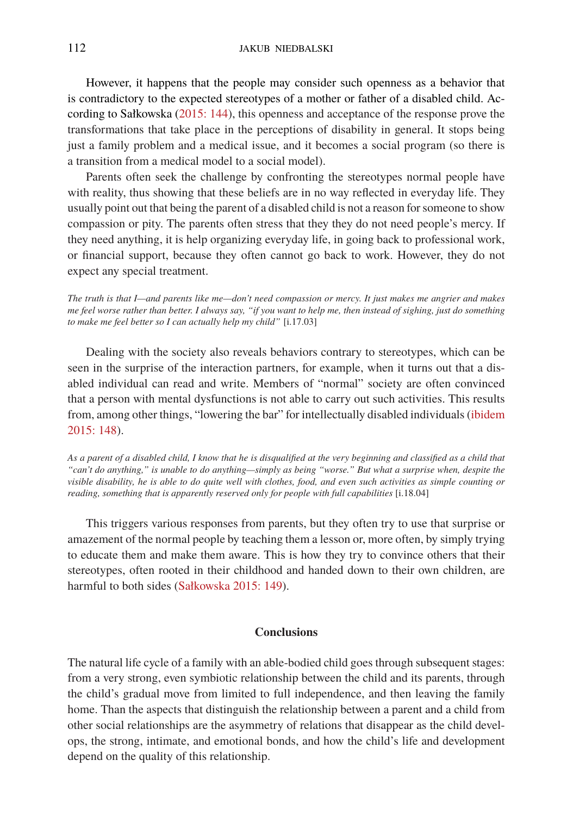However, it happens that the people may consider such openness as a behavior that is contradictory to the expected stereotypes of a mother or father of a disabled child. According to Sałkowska [\(2015: 144](#page-20-14)), this openness and acceptance of the response prove the transformations that take place in the perceptions of disability in general. It stops being just a family problem and a medical issue, and it becomes a social program (so there is a transition from a medical model to a social model).

Parents often seek the challenge by confronting the stereotypes normal people have with reality, thus showing that these beliefs are in no way reflected in everyday life. They usually point out that being the parent of a disabled child is not a reason for someone to show compassion or pity. The parents often stress that they they do not need people's mercy. If they need anything, it is help organizing everyday life, in going back to professional work, or financial support, because they often cannot go back to work. However, they do not expect any special treatment.

*The truth is that I—and parents like me—don't need compassion or mercy. It just makes me angrier and makes me feel worse rather than better. I always say, "if you want to help me, then instead of sighing, just do something to make me feel better so I can actually help my child"* [i.17.03]

Dealing with the society also reveals behaviors contrary to stereotypes, which can be seen in the surprise of the interaction partners, for example, when it turns out that a disabled individual can read and write. Members of "normal" society are often convinced that a person with mental dysfunctions is not able to carry out such activities. This results from, among other things, "lowering the bar" for intellectually disabled individuals([ibidem](#page-20-14) [2015: 148](#page-20-14)).

*As a parent of a disabled child, I know that he is disqualified at the very beginning and classified as a child that "can't do anything," is unable to do anything—simply as being "worse." But what a surprise when, despite the visible disability, he is able to do quite well with clothes, food, and even such activities as simple counting or reading, something that is apparently reserved only for people with full capabilities* [i.18.04]

This triggers various responses from parents, but they often try to use that surprise or amazement of the normal people by teaching them a lesson or, more often, by simply trying to educate them and make them aware. This is how they try to convince others that their stereotypes, often rooted in their childhood and handed down to their own children, are harmful to both sides([Sałkowska 2015: 149\)](#page-20-14).

## **Conclusions**

The natural life cycle of a family with an able-bodied child goes through subsequent stages: from a very strong, even symbiotic relationship between the child and its parents, through the child's gradual move from limited to full independence, and then leaving the family home. Than the aspects that distinguish the relationship between a parent and a child from other social relationships are the asymmetry of relations that disappear as the child develops, the strong, intimate, and emotional bonds, and how the child's life and development depend on the quality of this relationship.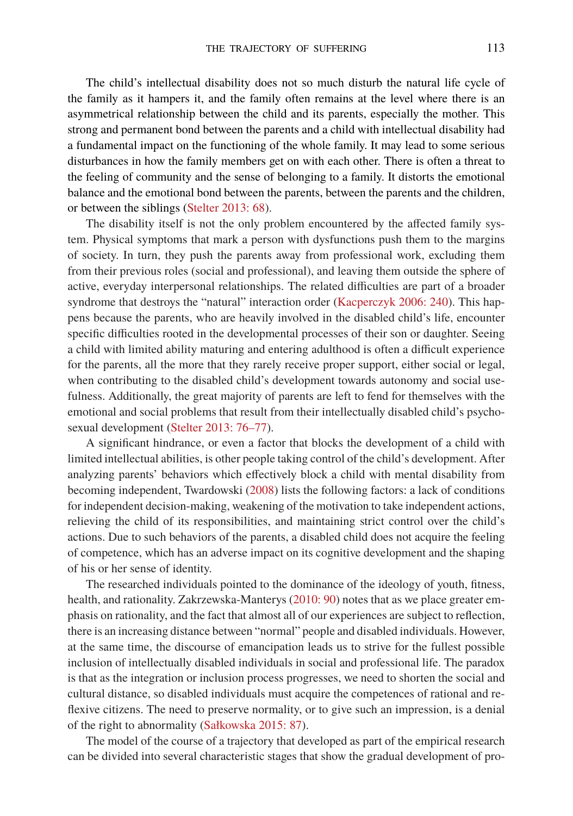The child's intellectual disability does not so much disturb the natural life cycle of the family as it hampers it, and the family often remains at the level where there is an asymmetrical relationship between the child and its parents, especially the mother. This strong and permanent bond between the parents and a child with intellectual disability had a fundamental impact on the functioning of the whole family. It may lead to some serious disturbances in how the family members get on with each other. There is often a threat to the feeling of community and the sense of belonging to a family. It distorts the emotional balance and the emotional bond between the parents, between the parents and the children, or between the siblings([Stelter 2013: 68](#page-20-2)).

The disability itself is not the only problem encountered by the affected family system. Physical symptoms that mark a person with dysfunctions push them to the margins of society. In turn, they push the parents away from professional work, excluding them from their previous roles (social and professional), and leaving them outside the sphere of active, everyday interpersonal relationships. The related difficulties are part of a broader syndrome that destroys the "natural" interaction order([Kacperczyk 2006: 240](#page-20-17)). This happens because the parents, who are heavily involved in the disabled child's life, encounter specific difficulties rooted in the developmental processes of their son or daughter. Seeing a child with limited ability maturing and entering adulthood is often a difficult experience for the parents, all the more that they rarely receive proper support, either social or legal, when contributing to the disabled child's development towards autonomy and social usefulness. Additionally, the great majority of parents are left to fend for themselves with the emotional and social problems that result from their intellectually disabled child's psychosexual development([Stelter 2013: 76–77\)](#page-20-2).

A significant hindrance, or even a factor that blocks the development of a child with limited intellectual abilities, is other people taking control of the child's development. After analyzing parents' behaviors which effectively block a child with mental disability from becoming independent, Twardowski [\(2008\)](#page-20-23) lists the following factors: a lack of conditions for independent decision-making, weakening of the motivation to take independent actions, relieving the child of its responsibilities, and maintaining strict control over the child's actions. Due to such behaviors of the parents, a disabled child does not acquire the feeling of competence, which has an adverse impact on its cognitive development and the shaping of his or her sense of identity.

The researched individuals pointed to the dominance of the ideology of youth, fitness, health, and rationality. Zakrzewska-Manterys([2010: 90](#page-21-1)) notes that as we place greater emphasis on rationality, and the fact that almost all of our experiences are subject to reflection, there is an increasing distance between "normal" people and disabled individuals. However, at the same time, the discourse of emancipation leads us to strive for the fullest possible inclusion of intellectually disabled individuals in social and professional life. The paradox is that as the integration or inclusion process progresses, we need to shorten the social and cultural distance, so disabled individuals must acquire the competences of rational and reflexive citizens. The need to preserve normality, or to give such an impression, is a denial of the right to abnormality([Sałkowska 2015: 87\)](#page-20-14).

The model of the course of a trajectory that developed as part of the empirical research can be divided into several characteristic stages that show the gradual development of pro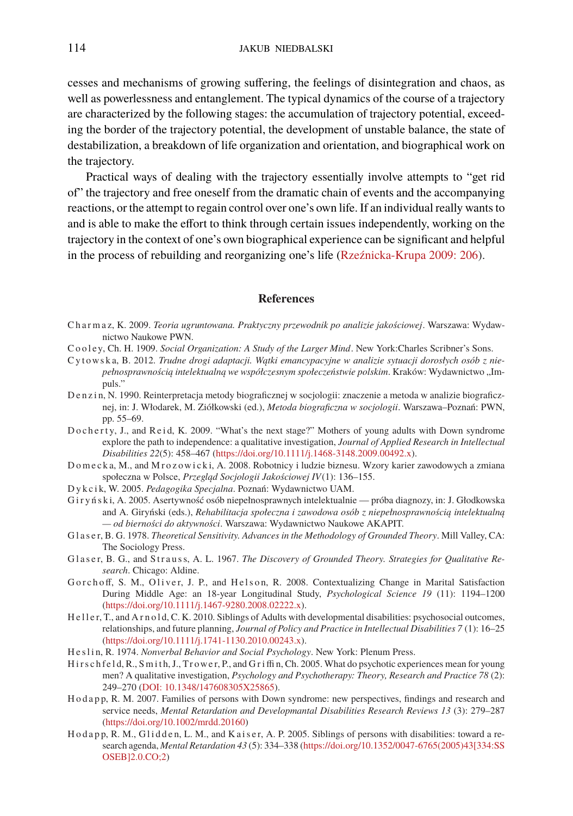cesses and mechanisms of growing suffering, the feelings of disintegration and chaos, as well as powerlessness and entanglement. The typical dynamics of the course of a trajectory are characterized by the following stages: the accumulation of trajectory potential, exceeding the border of the trajectory potential, the development of unstable balance, the state of destabilization, a breakdown of life organization and orientation, and biographical work on the trajectory.

Practical ways of dealing with the trajectory essentially involve attempts to "get rid of" the trajectory and free oneself from the dramatic chain of events and the accompanying reactions, or the attempt to regain control over one's own life. If an individual really wants to and is able to make the effort to think through certain issues independently, working on the trajectory in the context of one's own biographical experience can be significant and helpful in the process of rebuilding and reorganizing one's life [\(Rzeźnicka-Krupa 2009: 206\)](#page-20-24).

#### **References**

- <span id="page-19-12"></span>C h a r m a z, K. 2009. *Teoria ugruntowana. Praktyczny przewodnik po analizie jakościowej*. Warszawa: Wydawnictwo Naukowe PWN.
- Cooley, Ch. H. 1909. *Social Organization: A Study of the Larger Mind*. New York: Charles Scribner's Sons.
- <span id="page-19-1"></span>C y t ow s k a, B. 2012. *Trudne drogi adaptacji. Wątki emancypacyjne w analizie sytuacji dorosłych osób z niepełnosprawnością intelektualną we współczesnym społeczeństwie polskim*. Kraków: Wydawnictwo "Impuls."
- <span id="page-19-9"></span>D e n z i n, N. 1990. Reinterpretacja metody biograficznej w socjologii: znaczenie a metoda w analizie biograficznej, in: J. Włodarek, M. Ziółkowski (ed.), *Metoda biograficzna w socjologii*. Warszawa–Poznań: PWN, pp. 55–69.
- <span id="page-19-2"></span>Docherty, J., and Reid, K. 2009. "What's the next stage?" Mothers of young adults with Down syndrome explore the path to independence: a qualitative investigation, *Journal of Applied Research in Intellectual Disabilities 22*(5): 458–467 [\(https://doi.org/10.1111/j.1468-3148.2009.00492.x](https://doi.org/10.1111/j.1468-3148.2009.00492.x)).
- <span id="page-19-10"></span>Domecka, M., and Mrozowicki, A. 2008. Robotnicy i ludzie biznesu. Wzory karier zawodowych a zmiana społeczna w Polsce, *Przegląd Socjologii Jakościowej IV*(1): 136–155.
- <span id="page-19-0"></span>D y k c i k, W. 2005. *Pedagogika Specjalna*. Poznań: Wydawnictwo UAM.
- <span id="page-19-13"></span>G i r y ń s k i, A. 2005. Asertywność osób niepełnosprawnych intelektualnie — próba diagnozy, in: J. Głodkowska and A. Giryński (eds.), *Rehabilitacja społeczna i zawodowa osób z niepełnosprawnością intelektualną — od bierności do aktywności*. Warszawa: Wydawnictwo Naukowe AKAPIT.
- <span id="page-19-8"></span>G l a s e r, B. G. 1978. *Theoretical Sensitivity. Advances in the Methodology of Grounded Theory*. Mill Valley, CA: The Sociology Press.
- <span id="page-19-7"></span>Glaser, B. G., and Strauss, A. L. 1967. *The Discovery of Grounded Theory. Strategies for Qualitative Research*. Chicago: Aldine.
- <span id="page-19-6"></span>Gorchoff, S. M., Oliver, J. P., and Helson, R. 2008. Contextualizing Change in Marital Satisfaction During Middle Age: an 18-year Longitudinal Study, *Psychological Science 19* (11): 1194–1200 [\(https://doi.org/10.1111/j.1467-9280.2008.02222.x](https://doi.org/10.1111/j.1467-9280.2008.02222.x)).
- <span id="page-19-3"></span>Heller, T., and Arn old, C. K. 2010. Siblings of Adults with developmental disabilities: psychosocial outcomes, relationships, and future planning, *Journal of Policy and Practice in Intellectual Disabilities 7* (1): 16–25 [\(https://doi.org/10.1111/j.1741-1130.2010.00243.x](https://doi.org/10.1111/j.1741-1130.2010.00243.x)).
- <span id="page-19-14"></span>H e s l i n, R. 1974. *Nonverbal Behavior and Social Psychology*. New York: Plenum Press.
- <span id="page-19-11"></span>H i r s c h f e l d, R., S m i t h, J., T r ow e r, P., and G r i ffi n, Ch. 2005. What do psychotic experiences mean for young men? A qualitative investigation, *Psychology and Psychotherapy: Theory, Research and Practice 78* (2): 249–270 [\(DOI: 10.1348/147608305X25865](https://doi.org/10.1348/147608305X25865)).
- <span id="page-19-4"></span>H o d a p p, R. M. 2007. Families of persons with Down syndrome: new perspectives, findings and research and service needs, *Mental Retardation and Developmantal Disabilities Research Reviews 13* (3): 279–287 [\(https://doi.org/10.1002/mrdd.20160](https://doi.org/10.1002/mrdd.20160))
- <span id="page-19-5"></span>H od app, R. M., G l idden, L. M., and K a iser, A. P. 2005. Siblings of persons with disabilities: toward a research agenda, *Mental Retardation 43* (5): 334–338([https://doi.org/10.1352/0047-6765\(2005\)43\[334:SS](https://doi.org/10.1352/0047-6765(2005)43[334:SSOSEB]2.0.CO;2) [OSEB\]2.0.CO;2\)](https://doi.org/10.1352/0047-6765(2005)43[334:SSOSEB]2.0.CO;2)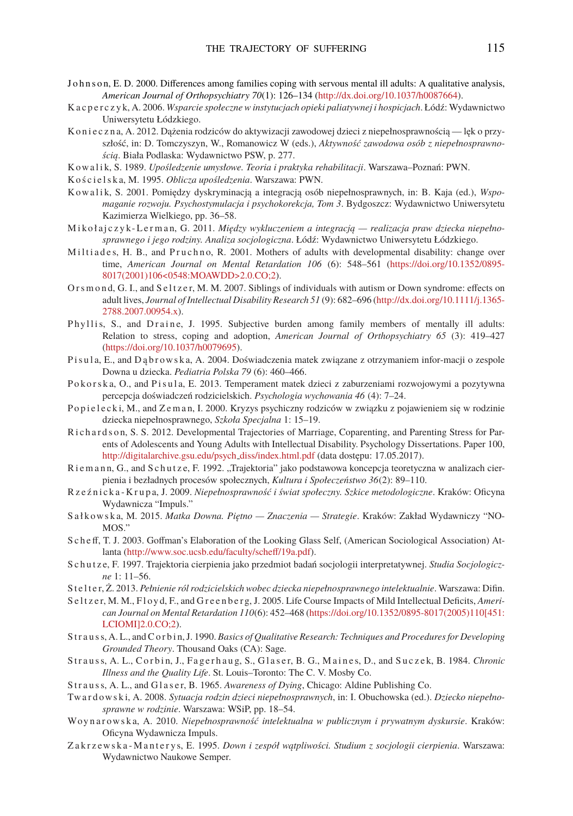- <span id="page-20-8"></span>J o h n s o n, E. D. 2000. Differences among families coping with servous mental ill adults: A qualitative analysis, *American Journal of Orthopsychiatry 70*(1): 126–134([http://dx.doi.org/10.1037/h0087664\)](http://dx.doi.org/10.1037/h0087664).
- <span id="page-20-17"></span>K a c p e r c z y k, A. 2006. *Wsparcie społeczne w instytucjach opieki paliatywnej i hospicjach*. Łódź: Wydawnictwo Uniwersytetu Łódzkiego.
- <span id="page-20-15"></span>K o n i e c z n a, A. 2012. Dażenia rodziców do aktywizacji zawodowej dzieci z niepełnosprawnością — lek o przyszłość, in: D. Tomczyszyn, W., Romanowicz W (eds.), *Aktywność zawodowa osób z niepełnosprawnością*. Biała Podlaska: Wydawnictwo PSW, p. 277.
- <span id="page-20-16"></span>K ow a l i k, S. 1989. *Upośledzenie umysłowe. Teoria i praktyka rehabilitacji*. Warszawa–Poznań: PWN.

<span id="page-20-0"></span>K o ś c i e l s k a, M. 1995. *Oblicza upośledzenia*. Warszawa: PWN.

- <span id="page-20-1"></span>K ow a l i k, S. 2001. Pomiedzy dyskryminacją a integracją osób niepełnosprawnych, in: B. Kaja (ed.), *Wspomaganie rozwoju. Psychostymulacja i psychokorekcja, Tom 3*. Bydgoszcz: Wydawnictwo Uniwersytetu Kazimierza Wielkiego, pp. 36–58.
- <span id="page-20-3"></span>M i k ołajczyk-Lerman, G. 2011. Między wykluczeniem a integracją – realizacja praw dziecka niepełno*sprawnego i jego rodziny. Analiza socjologiczna*. Łódź: Wydawnictwo Uniwersytetu Łódzkiego.
- <span id="page-20-5"></span>Miltiades, H. B., and Pruchno, R. 2001. Mothers of adults with developmental disability: change over time, *American Journal on Mental Retardation 106* (6): 548–561([https://doi.org/10.1352/0895-](https://doi.org/10.1352/0895-8017(2001)106<0548:MOAWDD>2.0.CO;2) [8017\(2001\)106<0548:MOAWDD>2.0.CO;2](https://doi.org/10.1352/0895-8017(2001)106<0548:MOAWDD>2.0.CO;2)).
- <span id="page-20-6"></span>Or s m on d, G. I., and Seltzer, M. M. 2007. Siblings of individuals with autism or Down syndrome: effects on adult lives, *Journal of Intellectual Disability Research 51* (9): 682–696([http://dx.doi.org/10.1111/j.1365-](http://dx.doi.org/10.1111/j.1365-2788.2007.00954.x) [2788.2007.00954.x](http://dx.doi.org/10.1111/j.1365-2788.2007.00954.x)).
- Phyllis, S., and Draine, J. 1995. Subjective burden among family members of mentally ill adults: Relation to stress, coping and adoption, *American Journal of Orthopsychiatry 65* (3): 419–427 [\(https://doi.org/10.1037/h0079695](https://doi.org/10.1037/h0079695)).
- <span id="page-20-4"></span>P i s u l a, E., and D a b r ow s k a, A. 2004. Doświadczenia matek związane z otrzymaniem infor-macji o zespole Downa u dziecka. *Pediatria Polska 79* (6): 460–466.
- P o korsk a, O., and P i sula, E. 2013. Temperament matek dzieci z zaburzeniami rozwojowymi a pozytywna percepcja doświadczeń rodzicielskich. *Psychologia wychowania 46* (4): 7–24.
- <span id="page-20-18"></span>P o p i e l e c k i, M., and Z e m a n, I. 2000. Kryzys psychiczny rodziców w związku z pojawieniem się w rodzinie dziecka niepełnosprawnego, *Szkoła Specjalna* 1: 15–19.
- <span id="page-20-9"></span>Richardson, S. S. 2012. Developmental Trajectories of Marriage, Coparenting, and Parenting Stress for Parents of Adolescents and Young Adults with Intellectual Disability. Psychology Dissertations. Paper 100, [http://digitalarchive.gsu.edu/psych](https://scholarworks.gsu.edu/cgi/viewcontent.cgi?article=1099&context=psych_diss) diss/index.html.pdf (data dostępu: 17.05.2017).
- <span id="page-20-11"></span>Rie m a n n, G., and S c h u t z e, F. 1992. "Trajektoria" jako podstawowa koncepcja teoretyczna w analizach cierpienia i bezładnych procesów społecznych, *Kultura i Społeczeństwo 36*(2): 89–110.
- <span id="page-20-24"></span>R z e ź n i c k a - K r u p a, J. 2009. *Niepełnosprawność i świat społeczny. Szkice metodologiczne*. Kraków: Oficyna Wydawnicza "Impuls."
- <span id="page-20-14"></span>S a ł k ow s k a, M. 2015. *Matka Downa. Piętno — Znaczenia — Strategie*. Kraków: Zakład Wydawniczy "NO-MOS."
- <span id="page-20-22"></span>S c h e ff, T. J. 2003. Goffman's Elaboration of the Looking Glass Self, (American Sociological Association) Atlanta([http://www.soc.ucsb.edu/faculty/scheff/19a.pdf\)](http://www.soc.ucsb.edu/faculty/scheff/19a.pdf).
- <span id="page-20-12"></span>S c h u t z e, F. 1997. Trajektoria cierpienia jako przedmiot badań socjologii interpretatywnej. *Studia Socjologiczne* 1: 11–56.
- <span id="page-20-2"></span>Stelter, Ż. 2013. Pełnienie ról rodzicielskich wobec dziecka niepełnosprawnego intelektualnie. Warszawa: Difin.
- <span id="page-20-7"></span>S e l t z e r, M. M., F l o y d, F., and G r e e n b e r g, J. 2005. Life Course Impacts of Mild Intellectual Deficits, *American Journal on Mental Retardation 110*(6): 452–468([https://doi.org/10.1352/0895-8017\(2005\)110\[451:](https://doi.org/10.1352/0895-8017(2005)110[451:LCIOMI]2.0.CO;2) [LCIOMI\]2.0.CO;2\)](https://doi.org/10.1352/0895-8017(2005)110[451:LCIOMI]2.0.CO;2).
- <span id="page-20-10"></span>Strauss, A. L., and C orbin, J. 1990. *Basics of Qualitative Research: Techniques and Procedures for Developing Grounded Theory*. Thousand Oaks (CA): Sage.
- <span id="page-20-19"></span>Strauss, A. L., Corbin, J., Fagerhaug, S., Glaser, B. G., Maines, D., and Suczek, B. 1984. Chronic *Illness and the Quality Life*. St. Louis–Toronto: The C. V. Mosby Co.

<span id="page-20-20"></span>Strauss, A. L., and Glaser, B. 1965. *Awareness of Dying*, Chicago: Aldine Publishing Co.

- <span id="page-20-23"></span>Tw a r d ow s k i, A. 2008. *Sytuacja rodzin dzieci niepełnosprawnych*, in: I. Obuchowska (ed.). *Dziecko niepełnosprawne w rodzinie*. Warszawa: WSiP, pp. 18–54.
- <span id="page-20-21"></span>Wo y n a r ow s k a, A. 2010. *Niepełnosprawność intelektualna w publicznym i prywatnym dyskursie*. Kraków: Oficyna Wydawnicza Impuls.
- <span id="page-20-13"></span>Z a k r z ew s k a - M a n t e r y s, E. 1995. *Down i zespół wątpliwości. Studium z socjologii cierpienia*. Warszawa: Wydawnictwo Naukowe Semper.